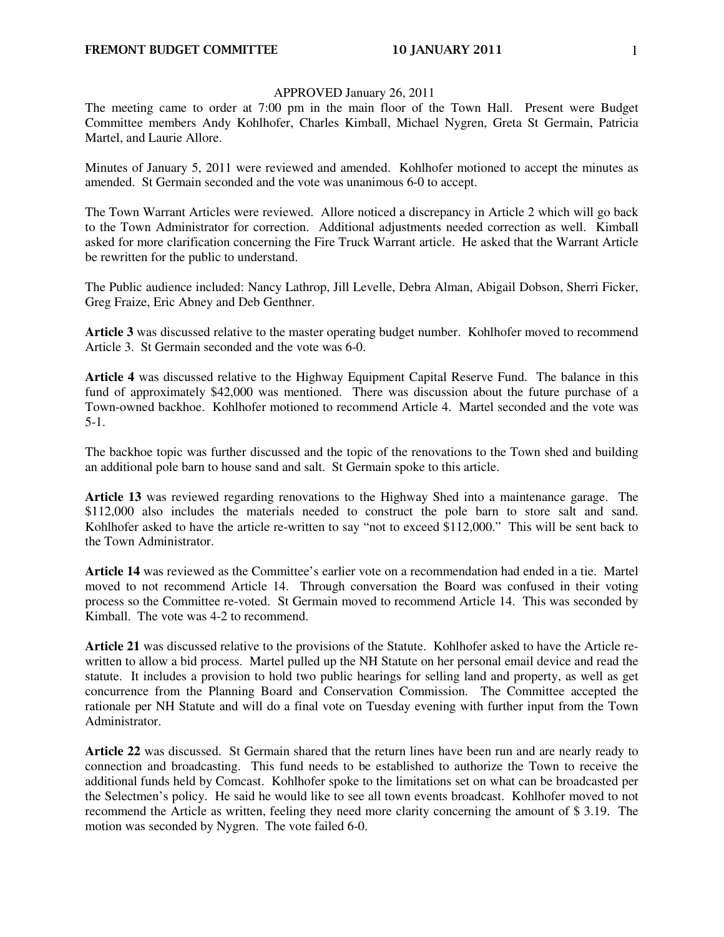## APPROVED January 26, 2011

The meeting came to order at 7:00 pm in the main floor of the Town Hall. Present were Budget Committee members Andy Kohlhofer, Charles Kimball, Michael Nygren, Greta St Germain, Patricia Martel, and Laurie Allore.

Minutes of January 5, 2011 were reviewed and amended. Kohlhofer motioned to accept the minutes as amended. St Germain seconded and the vote was unanimous 6-0 to accept.

The Town Warrant Articles were reviewed. Allore noticed a discrepancy in Article 2 which will go back to the Town Administrator for correction. Additional adjustments needed correction as well. Kimball asked for more clarification concerning the Fire Truck Warrant article. He asked that the Warrant Article be rewritten for the public to understand.

The Public audience included: Nancy Lathrop, Jill Levelle, Debra Alman, Abigail Dobson, Sherri Ficker, Greg Fraize, Eric Abney and Deb Genthner.

**Article 3** was discussed relative to the master operating budget number. Kohlhofer moved to recommend Article 3. St Germain seconded and the vote was 6-0.

**Article 4** was discussed relative to the Highway Equipment Capital Reserve Fund. The balance in this fund of approximately \$42,000 was mentioned. There was discussion about the future purchase of a Town-owned backhoe. Kohlhofer motioned to recommend Article 4. Martel seconded and the vote was 5-1.

The backhoe topic was further discussed and the topic of the renovations to the Town shed and building an additional pole barn to house sand and salt. St Germain spoke to this article.

**Article 13** was reviewed regarding renovations to the Highway Shed into a maintenance garage. The \$112,000 also includes the materials needed to construct the pole barn to store salt and sand. Kohlhofer asked to have the article re-written to say "not to exceed \$112,000." This will be sent back to the Town Administrator.

**Article 14** was reviewed as the Committee's earlier vote on a recommendation had ended in a tie.Martel moved to not recommend Article 14. Through conversation the Board was confused in their voting process so the Committee re-voted. St Germain moved to recommend Article 14. This was seconded by Kimball. The vote was 4-2 to recommend.

**Article 21** was discussed relative to the provisions of the Statute.Kohlhofer asked to have the Article rewritten to allow a bid process. Martel pulled up the NH Statute on her personal email device and read the statute. It includes a provision to hold two public hearings for selling land and property, as well as get concurrence from the Planning Board and Conservation Commission. The Committee accepted the rationale per NH Statute and will do a final vote on Tuesday evening with further input from the Town Administrator.

**Article 22** was discussed. St Germain shared that the return lines have been run and are nearly ready to connection and broadcasting. This fund needs to be established to authorize the Town to receive the additional funds held by Comcast. Kohlhofer spoke to the limitations set on what can be broadcasted per the Selectmen's policy. He said he would like to see all town events broadcast. Kohlhofer moved to not recommend the Article as written, feeling they need more clarity concerning the amount of \$ 3.19. The motion was seconded by Nygren. The vote failed 6-0.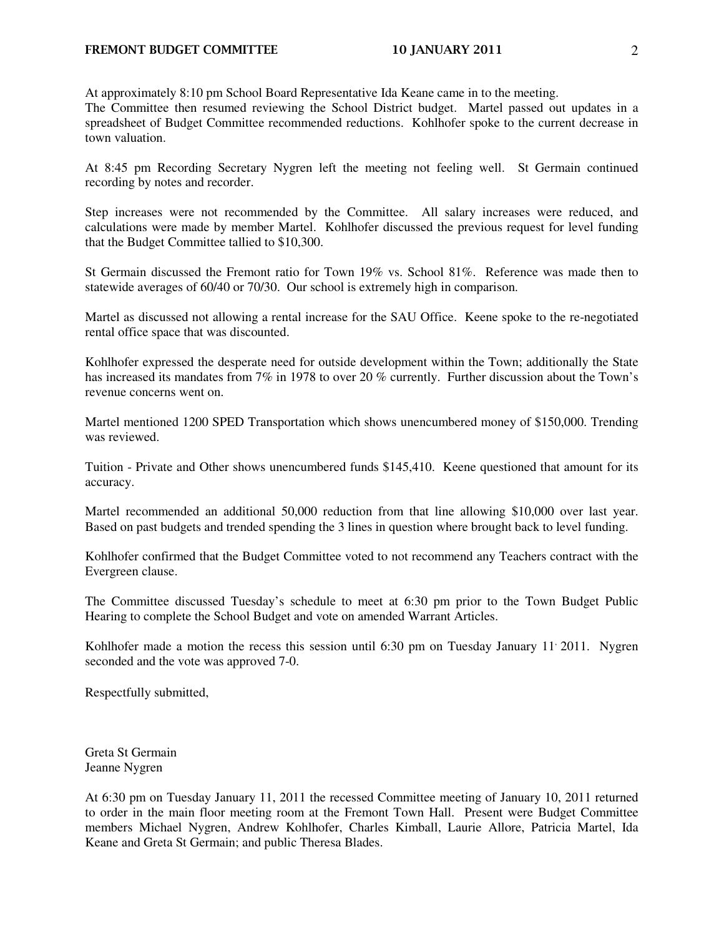At approximately 8:10 pm School Board Representative Ida Keane came in to the meeting.

The Committee then resumed reviewing the School District budget. Martel passed out updates in a spreadsheet of Budget Committee recommended reductions. Kohlhofer spoke to the current decrease in town valuation.

At 8:45 pm Recording Secretary Nygren left the meeting not feeling well. St Germain continued recording by notes and recorder.

Step increases were not recommended by the Committee. All salary increases were reduced, and calculations were made by member Martel. Kohlhofer discussed the previous request for level funding that the Budget Committee tallied to \$10,300.

St Germain discussed the Fremont ratio for Town 19% vs. School 81%. Reference was made then to statewide averages of 60/40 or 70/30. Our school is extremely high in comparison.

Martel as discussed not allowing a rental increase for the SAU Office. Keene spoke to the re-negotiated rental office space that was discounted.

Kohlhofer expressed the desperate need for outside development within the Town; additionally the State has increased its mandates from 7% in 1978 to over 20 % currently. Further discussion about the Town's revenue concerns went on.

Martel mentioned 1200 SPED Transportation which shows unencumbered money of \$150,000. Trending was reviewed.

Tuition - Private and Other shows unencumbered funds \$145,410. Keene questioned that amount for its accuracy.

Martel recommended an additional 50,000 reduction from that line allowing \$10,000 over last year. Based on past budgets and trended spending the 3 lines in question where brought back to level funding.

Kohlhofer confirmed that the Budget Committee voted to not recommend any Teachers contract with the Evergreen clause.

The Committee discussed Tuesday's schedule to meet at 6:30 pm prior to the Town Budget Public Hearing to complete the School Budget and vote on amended Warrant Articles.

Kohlhofer made a motion the recess this session until 6:30 pm on Tuesday January  $11'$  2011. Nygren seconded and the vote was approved 7-0.

Respectfully submitted,

Greta St Germain Jeanne Nygren

At 6:30 pm on Tuesday January 11, 2011 the recessed Committee meeting of January 10, 2011 returned to order in the main floor meeting room at the Fremont Town Hall. Present were Budget Committee members Michael Nygren, Andrew Kohlhofer, Charles Kimball, Laurie Allore, Patricia Martel, Ida Keane and Greta St Germain; and public Theresa Blades.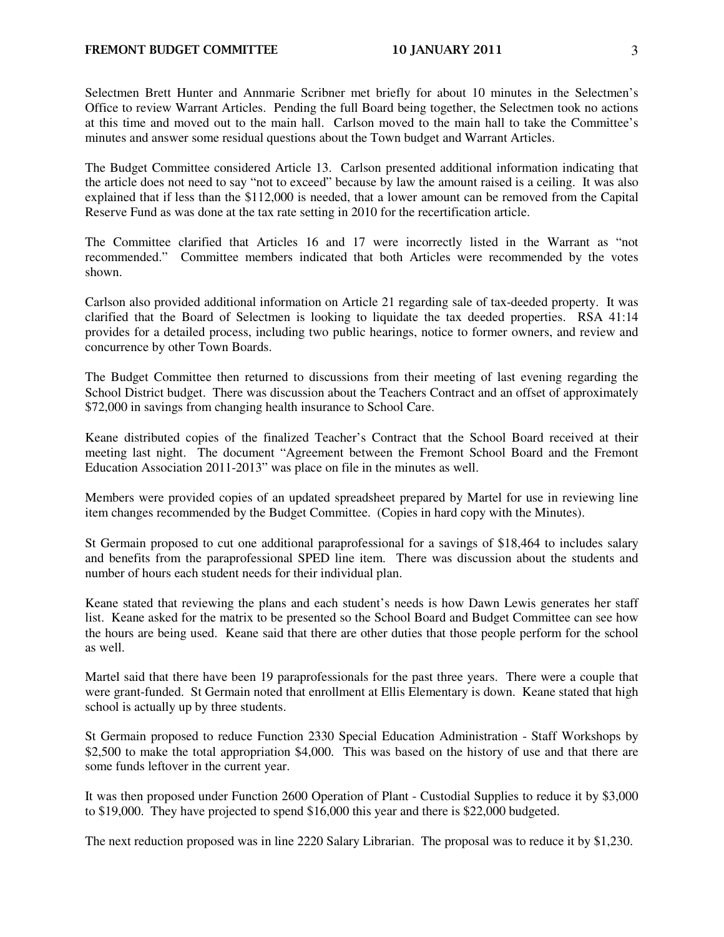Selectmen Brett Hunter and Annmarie Scribner met briefly for about 10 minutes in the Selectmen's Office to review Warrant Articles. Pending the full Board being together, the Selectmen took no actions at this time and moved out to the main hall. Carlson moved to the main hall to take the Committee's minutes and answer some residual questions about the Town budget and Warrant Articles.

The Budget Committee considered Article 13. Carlson presented additional information indicating that the article does not need to say "not to exceed" because by law the amount raised is a ceiling. It was also explained that if less than the \$112,000 is needed, that a lower amount can be removed from the Capital Reserve Fund as was done at the tax rate setting in 2010 for the recertification article.

The Committee clarified that Articles 16 and 17 were incorrectly listed in the Warrant as "not recommended." Committee members indicated that both Articles were recommended by the votes shown.

Carlson also provided additional information on Article 21 regarding sale of tax-deeded property. It was clarified that the Board of Selectmen is looking to liquidate the tax deeded properties. RSA 41:14 provides for a detailed process, including two public hearings, notice to former owners, and review and concurrence by other Town Boards.

The Budget Committee then returned to discussions from their meeting of last evening regarding the School District budget. There was discussion about the Teachers Contract and an offset of approximately \$72,000 in savings from changing health insurance to School Care.

Keane distributed copies of the finalized Teacher's Contract that the School Board received at their meeting last night. The document "Agreement between the Fremont School Board and the Fremont Education Association 2011-2013" was place on file in the minutes as well.

Members were provided copies of an updated spreadsheet prepared by Martel for use in reviewing line item changes recommended by the Budget Committee. (Copies in hard copy with the Minutes).

St Germain proposed to cut one additional paraprofessional for a savings of \$18,464 to includes salary and benefits from the paraprofessional SPED line item. There was discussion about the students and number of hours each student needs for their individual plan.

Keane stated that reviewing the plans and each student's needs is how Dawn Lewis generates her staff list. Keane asked for the matrix to be presented so the School Board and Budget Committee can see how the hours are being used. Keane said that there are other duties that those people perform for the school as well.

Martel said that there have been 19 paraprofessionals for the past three years. There were a couple that were grant-funded. St Germain noted that enrollment at Ellis Elementary is down. Keane stated that high school is actually up by three students.

St Germain proposed to reduce Function 2330 Special Education Administration - Staff Workshops by \$2,500 to make the total appropriation \$4,000. This was based on the history of use and that there are some funds leftover in the current year.

It was then proposed under Function 2600 Operation of Plant - Custodial Supplies to reduce it by \$3,000 to \$19,000. They have projected to spend \$16,000 this year and there is \$22,000 budgeted.

The next reduction proposed was in line 2220 Salary Librarian. The proposal was to reduce it by \$1,230.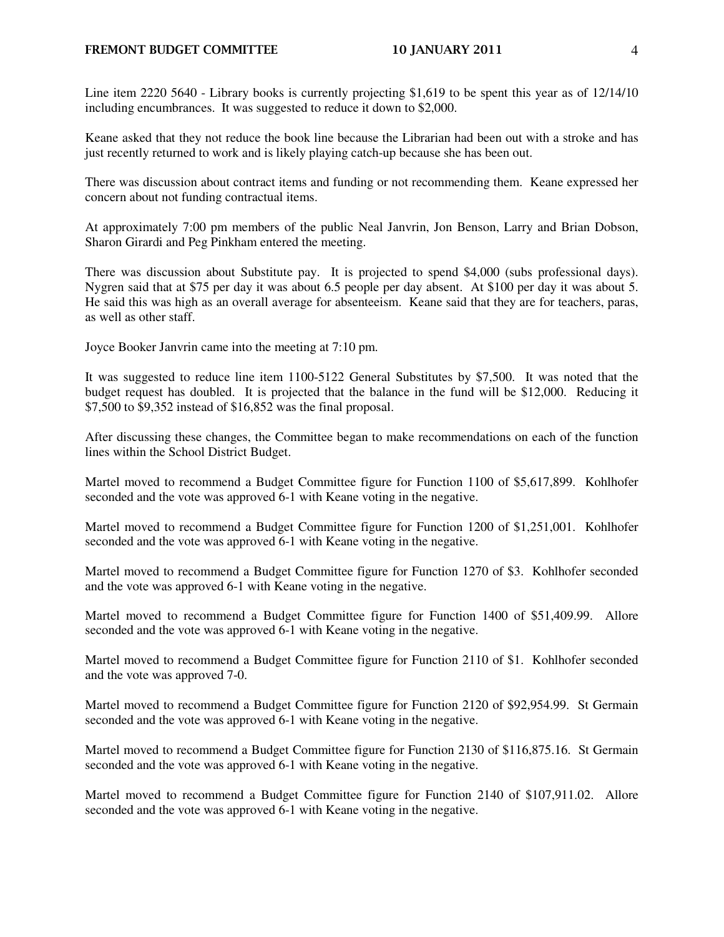## FREMONT BUDGET COMMITTEE 10 JANUARY 2011 4

Line item 2220 5640 - Library books is currently projecting \$1,619 to be spent this year as of 12/14/10 including encumbrances. It was suggested to reduce it down to \$2,000.

Keane asked that they not reduce the book line because the Librarian had been out with a stroke and has just recently returned to work and is likely playing catch-up because she has been out.

There was discussion about contract items and funding or not recommending them. Keane expressed her concern about not funding contractual items.

At approximately 7:00 pm members of the public Neal Janvrin, Jon Benson, Larry and Brian Dobson, Sharon Girardi and Peg Pinkham entered the meeting.

There was discussion about Substitute pay. It is projected to spend \$4,000 (subs professional days). Nygren said that at \$75 per day it was about 6.5 people per day absent. At \$100 per day it was about 5. He said this was high as an overall average for absenteeism. Keane said that they are for teachers, paras, as well as other staff.

Joyce Booker Janvrin came into the meeting at 7:10 pm.

It was suggested to reduce line item 1100-5122 General Substitutes by \$7,500. It was noted that the budget request has doubled. It is projected that the balance in the fund will be \$12,000. Reducing it \$7,500 to \$9,352 instead of \$16,852 was the final proposal.

After discussing these changes, the Committee began to make recommendations on each of the function lines within the School District Budget.

Martel moved to recommend a Budget Committee figure for Function 1100 of \$5,617,899. Kohlhofer seconded and the vote was approved 6-1 with Keane voting in the negative.

Martel moved to recommend a Budget Committee figure for Function 1200 of \$1,251,001. Kohlhofer seconded and the vote was approved 6-1 with Keane voting in the negative.

Martel moved to recommend a Budget Committee figure for Function 1270 of \$3. Kohlhofer seconded and the vote was approved 6-1 with Keane voting in the negative.

Martel moved to recommend a Budget Committee figure for Function 1400 of \$51,409.99. Allore seconded and the vote was approved 6-1 with Keane voting in the negative.

Martel moved to recommend a Budget Committee figure for Function 2110 of \$1. Kohlhofer seconded and the vote was approved 7-0.

Martel moved to recommend a Budget Committee figure for Function 2120 of \$92,954.99. St Germain seconded and the vote was approved 6-1 with Keane voting in the negative.

Martel moved to recommend a Budget Committee figure for Function 2130 of \$116,875.16. St Germain seconded and the vote was approved 6-1 with Keane voting in the negative.

Martel moved to recommend a Budget Committee figure for Function 2140 of \$107,911.02. Allore seconded and the vote was approved 6-1 with Keane voting in the negative.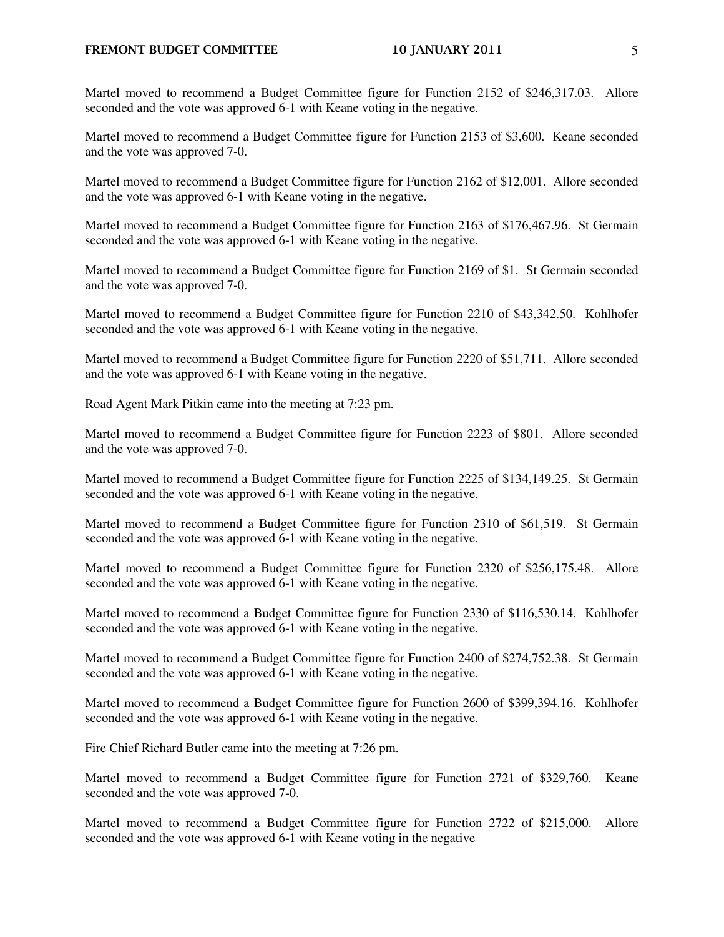## FREMONT BUDGET COMMITTEE 10 JANUARY 2011 5

Martel moved to recommend a Budget Committee figure for Function 2152 of \$246,317.03. Allore seconded and the vote was approved 6-1 with Keane voting in the negative.

Martel moved to recommend a Budget Committee figure for Function 2153 of \$3,600. Keane seconded and the vote was approved 7-0.

Martel moved to recommend a Budget Committee figure for Function 2162 of \$12,001. Allore seconded and the vote was approved 6-1 with Keane voting in the negative.

Martel moved to recommend a Budget Committee figure for Function 2163 of \$176,467.96. St Germain seconded and the vote was approved 6-1 with Keane voting in the negative.

Martel moved to recommend a Budget Committee figure for Function 2169 of \$1. St Germain seconded and the vote was approved 7-0.

Martel moved to recommend a Budget Committee figure for Function 2210 of \$43,342.50. Kohlhofer seconded and the vote was approved 6-1 with Keane voting in the negative.

Martel moved to recommend a Budget Committee figure for Function 2220 of \$51,711. Allore seconded and the vote was approved 6-1 with Keane voting in the negative.

Road Agent Mark Pitkin came into the meeting at 7:23 pm.

Martel moved to recommend a Budget Committee figure for Function 2223 of \$801. Allore seconded and the vote was approved 7-0.

Martel moved to recommend a Budget Committee figure for Function 2225 of \$134,149.25. St Germain seconded and the vote was approved 6-1 with Keane voting in the negative.

Martel moved to recommend a Budget Committee figure for Function 2310 of \$61,519. St Germain seconded and the vote was approved 6-1 with Keane voting in the negative.

Martel moved to recommend a Budget Committee figure for Function 2320 of \$256,175.48. Allore seconded and the vote was approved 6-1 with Keane voting in the negative.

Martel moved to recommend a Budget Committee figure for Function 2330 of \$116,530.14. Kohlhofer seconded and the vote was approved 6-1 with Keane voting in the negative.

Martel moved to recommend a Budget Committee figure for Function 2400 of \$274,752.38. St Germain seconded and the vote was approved 6-1 with Keane voting in the negative.

Martel moved to recommend a Budget Committee figure for Function 2600 of \$399,394.16. Kohlhofer seconded and the vote was approved 6-1 with Keane voting in the negative.

Fire Chief Richard Butler came into the meeting at 7:26 pm.

Martel moved to recommend a Budget Committee figure for Function 2721 of \$329,760. Keane seconded and the vote was approved 7-0.

Martel moved to recommend a Budget Committee figure for Function 2722 of \$215,000. Allore seconded and the vote was approved 6-1 with Keane voting in the negative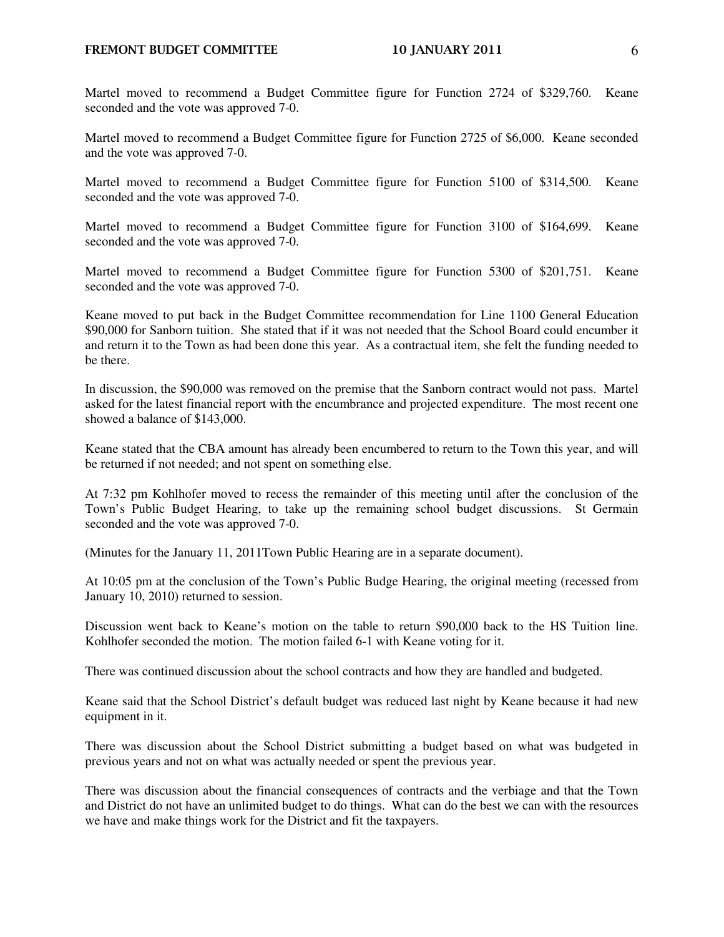Martel moved to recommend a Budget Committee figure for Function 2725 of \$6,000. Keane seconded and the vote was approved 7-0.

Martel moved to recommend a Budget Committee figure for Function 5100 of \$314,500. Keane seconded and the vote was approved 7-0.

Martel moved to recommend a Budget Committee figure for Function 3100 of \$164,699. Keane seconded and the vote was approved 7-0.

Martel moved to recommend a Budget Committee figure for Function 5300 of \$201,751. Keane seconded and the vote was approved 7-0.

Keane moved to put back in the Budget Committee recommendation for Line 1100 General Education \$90,000 for Sanborn tuition. She stated that if it was not needed that the School Board could encumber it and return it to the Town as had been done this year. As a contractual item, she felt the funding needed to be there.

In discussion, the \$90,000 was removed on the premise that the Sanborn contract would not pass. Martel asked for the latest financial report with the encumbrance and projected expenditure. The most recent one showed a balance of \$143,000.

Keane stated that the CBA amount has already been encumbered to return to the Town this year, and will be returned if not needed; and not spent on something else.

At 7:32 pm Kohlhofer moved to recess the remainder of this meeting until after the conclusion of the Town's Public Budget Hearing, to take up the remaining school budget discussions. St Germain seconded and the vote was approved 7-0.

(Minutes for the January 11, 2011Town Public Hearing are in a separate document).

At 10:05 pm at the conclusion of the Town's Public Budge Hearing, the original meeting (recessed from January 10, 2010) returned to session.

Discussion went back to Keane's motion on the table to return \$90,000 back to the HS Tuition line. Kohlhofer seconded the motion.The motion failed 6-1 with Keane voting for it.

There was continued discussion about the school contracts and how they are handled and budgeted.

Keane said that the School District's default budget was reduced last night by Keane because it had new equipment in it.

There was discussion about the School District submitting a budget based on what was budgeted in previous years and not on what was actually needed or spent the previous year.

There was discussion about the financial consequences of contracts and the verbiage and that the Town and District do not have an unlimited budget to do things. What can do the best we can with the resources we have and make things work for the District and fit the taxpayers.